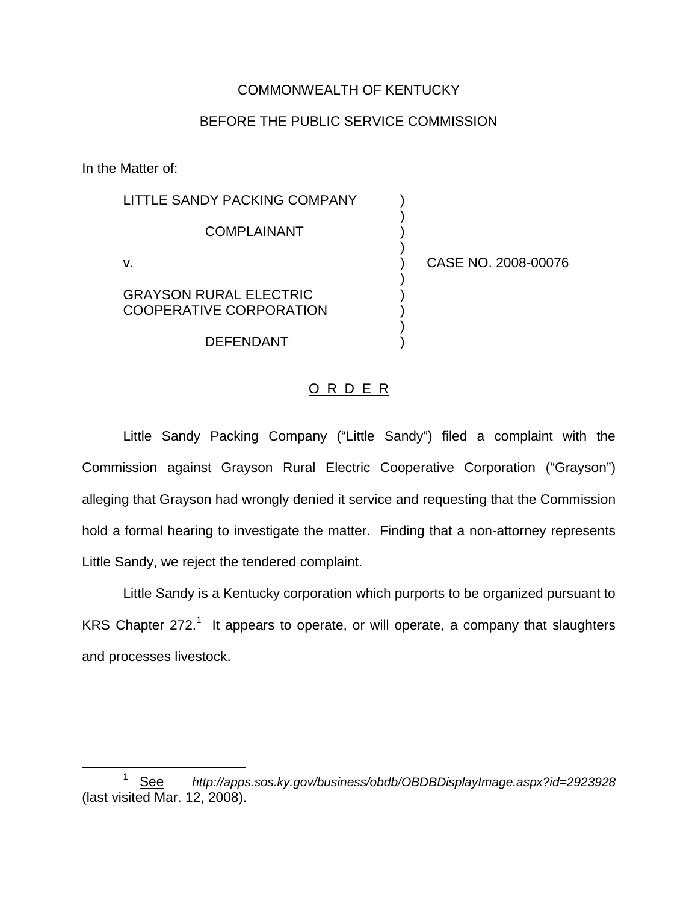## COMMONWEALTH OF KENTUCKY

## BEFORE THE PUBLIC SERVICE COMMISSION

)

)

)

)

In the Matter of:

LITTLE SANDY PACKING COMPANY **COMPLAINANT** v. ) CASE NO. 2008-00076 GRAYSON RURAL ELECTRIC ) COOPERATIVE CORPORATION

**DEFENDANT** 

## O R D E R

Little Sandy Packing Company ("Little Sandy") filed a complaint with the Commission against Grayson Rural Electric Cooperative Corporation ("Grayson") alleging that Grayson had wrongly denied it service and requesting that the Commission hold a formal hearing to investigate the matter. Finding that a non-attorney represents Little Sandy, we reject the tendered complaint.

Little Sandy is a Kentucky corporation which purports to be organized pursuant to KRS Chapter  $272<sup>1</sup>$  It appears to operate, or will operate, a company that slaughters and processes livestock.

<sup>1</sup> See *http://apps.sos.ky.gov/business/obdb/OBDBDisplayImage.aspx?id=2923928* (last visited Mar. 12, 2008).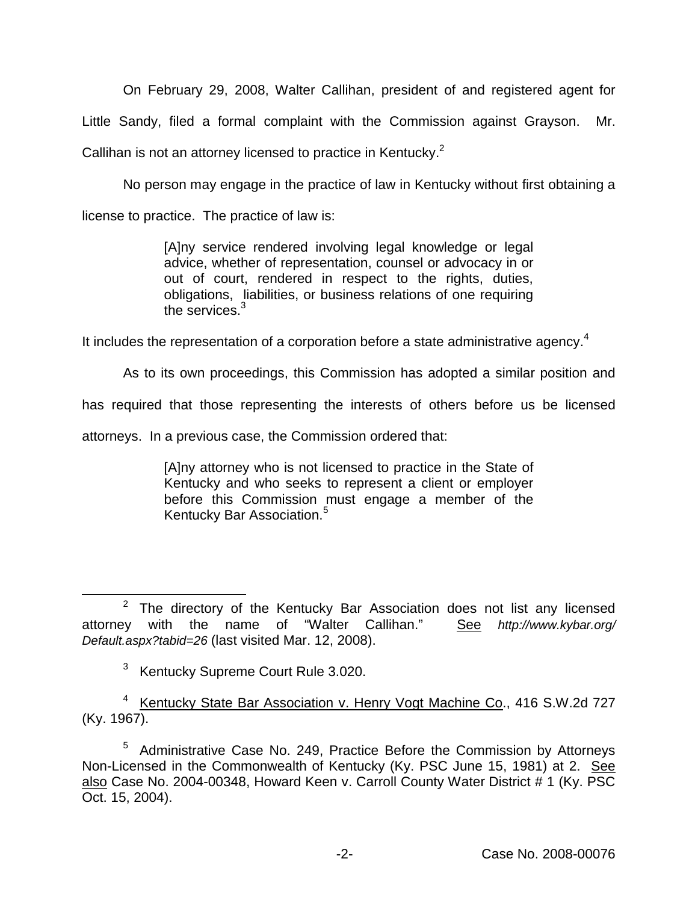On February 29, 2008, Walter Callihan, president of and registered agent for

Little Sandy, filed a formal complaint with the Commission against Grayson. Mr.

Callihan is not an attorney licensed to practice in Kentucky.<sup>2</sup>

No person may engage in the practice of law in Kentucky without first obtaining a

license to practice. The practice of law is:

[A]ny service rendered involving legal knowledge or legal advice, whether of representation, counsel or advocacy in or out of court, rendered in respect to the rights, duties, obligations, liabilities, or business relations of one requiring the services.<sup>3</sup>

It includes the representation of a corporation before a state administrative agency.<sup>4</sup>

As to its own proceedings, this Commission has adopted a similar position and

has required that those representing the interests of others before us be licensed

attorneys. In a previous case, the Commission ordered that:

[A]ny attorney who is not licensed to practice in the State of Kentucky and who seeks to represent a client or employer before this Commission must engage a member of the Kentucky Bar Association.<sup>5</sup>

 $2$  The directory of the Kentucky Bar Association does not list any licensed attorney with the name of "Walter Callihan." See *http://www.kybar.org/ Default.aspx?tabid=26* (last visited Mar. 12, 2008).

<sup>3</sup> Kentucky Supreme Court Rule 3.020.

<sup>4</sup> Kentucky State Bar Association v. Henry Vogt Machine Co., 416 S.W.2d 727 (Ky. 1967).

<sup>5</sup> Administrative Case No. 249, Practice Before the Commission by Attorneys Non-Licensed in the Commonwealth of Kentucky (Ky. PSC June 15, 1981) at 2. See also Case No. 2004-00348, Howard Keen v. Carroll County Water District # 1 (Ky. PSC Oct. 15, 2004).